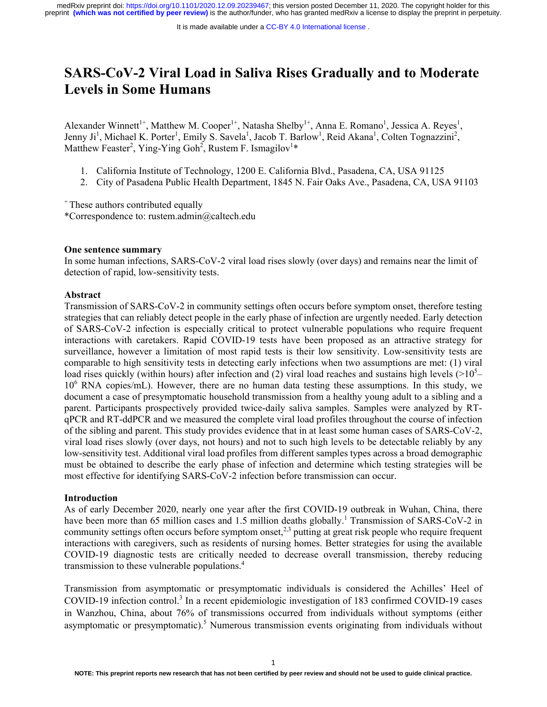# **SARS-CoV-2 Viral Load in Saliva Rises Gradually and to Moderate Levels in Some Humans**

Alexander Winnett<sup>1+</sup>, Matthew M. Cooper<sup>1+</sup>, Natasha Shelby<sup>1+</sup>, Anna E. Romano<sup>1</sup>, Jessica A. Reyes<sup>1</sup>, Jenny Ji<sup>1</sup>, Michael K. Porter<sup>1</sup>, Emily S. Savela<sup>1</sup>, Jacob T. Barlow<sup>1</sup>, Reid Akana<sup>1</sup>, Colten Tognazzini<sup>2</sup>, Matthew Feaster<sup>2</sup>, Ying-Ying Goh<sup>2</sup>, Rustem F. Ismagilov<sup>1\*</sup>

- 1. California Institute of Technology, 1200 E. California Blvd., Pasadena, CA, USA 91125
- 2. City of Pasadena Public Health Department, 1845 N. Fair Oaks Ave., Pasadena, CA, USA 91103

<sup>+</sup> These authors contributed equally

\*Correspondence to: rustem.admin@caltech.edu

# **One sentence summary**

In some human infections, SARS-CoV-2 viral load rises slowly (over days) and remains near the limit of detection of rapid, low-sensitivity tests.

# **Abstract**

Transmission of SARS-CoV-2 in community settings often occurs before symptom onset, therefore testing strategies that can reliably detect people in the early phase of infection are urgently needed. Early detection of SARS-CoV-2 infection is especially critical to protect vulnerable populations who require frequent interactions with caretakers. Rapid COVID-19 tests have been proposed as an attractive strategy for surveillance, however a limitation of most rapid tests is their low sensitivity. Low-sensitivity tests are comparable to high sensitivity tests in detecting early infections when two assumptions are met: (1) viral load rises quickly (within hours) after infection and (2) viral load reaches and sustains high levels ( $>10<sup>5</sup>$ -10<sup>6</sup> RNA copies/mL). However, there are no human data testing these assumptions. In this study, we document a case of presymptomatic household transmission from a healthy young adult to a sibling and a parent. Participants prospectively provided twice-daily saliva samples. Samples were analyzed by RTqPCR and RT-ddPCR and we measured the complete viral load profiles throughout the course of infection of the sibling and parent. This study provides evidence that in at least some human cases of SARS-CoV-2, viral load rises slowly (over days, not hours) and not to such high levels to be detectable reliably by any low-sensitivity test. Additional viral load profiles from different samples types across a broad demographic must be obtained to describe the early phase of infection and determine which testing strategies will be most effective for identifying SARS-CoV-2 infection before transmission can occur.

#### **Introduction**

As of early December 2020, nearly one year after the first COVID-19 outbreak in Wuhan, China, there have been more than 65 million cases and 1.5 million deaths globally.<sup>1</sup> Transmission of SARS-CoV-2 in community settings often occurs before symptom onset,<sup>2,3</sup> putting at great risk people who require frequent interactions with caregivers, such as residents of nursing homes. Better strategies for using the available COVID-19 diagnostic tests are critically needed to decrease overall transmission, thereby reducing transmission to these vulnerable populations.<sup>4</sup>

Transmission from asymptomatic or presymptomatic individuals is considered the Achilles' Heel of COVID-19 infection control.<sup>3</sup> In a recent epidemiologic investigation of 183 confirmed COVID-19 cases in Wanzhou, China, about 76% of transmissions occurred from individuals without symptoms (either asymptomatic or presymptomatic).<sup>5</sup> Numerous transmission events originating from individuals without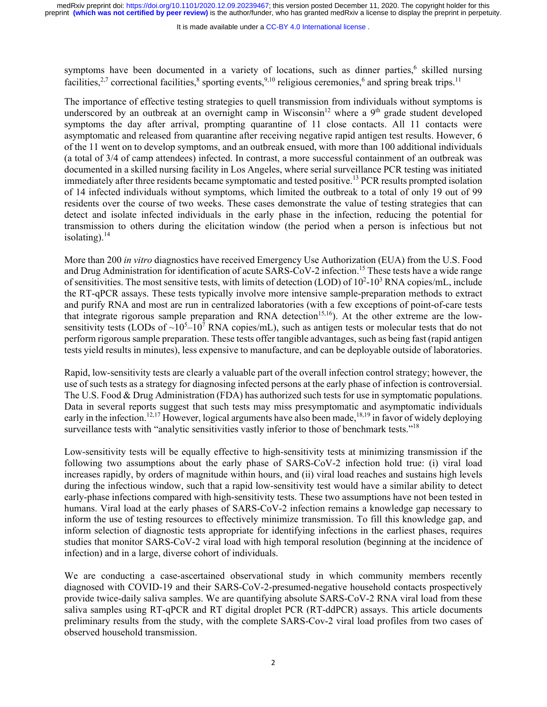It is made available under a CC-BY 4.0 International license.

symptoms have been documented in a variety of locations, such as dinner parties,<sup>6</sup> skilled nursing facilities,<sup>2,7</sup> correctional facilities,<sup>8</sup> sporting events,<sup>9,10</sup> religious ceremonies,<sup>6</sup> and spring break trips.<sup>11</sup>

The importance of effective testing strategies to quell transmission from individuals without symptoms is underscored by an outbreak at an overnight camp in Wisconsin<sup>12</sup> where a 9<sup>th</sup> grade student developed symptoms the day after arrival, prompting quarantine of 11 close contacts. All 11 contacts were asymptomatic and released from quarantine after receiving negative rapid antigen test results. However, 6 of the 11 went on to develop symptoms, and an outbreak ensued, with more than 100 additional individuals (a total of 3/4 of camp attendees) infected. In contrast, a more successful containment of an outbreak was documented in a skilled nursing facility in Los Angeles, where serial surveillance PCR testing was initiated immediately after three residents became symptomatic and tested positive.<sup>13</sup> PCR results prompted isolation of 14 infected individuals without symptoms, which limited the outbreak to a total of only 19 out of 99 residents over the course of two weeks. These cases demonstrate the value of testing strategies that can detect and isolate infected individuals in the early phase in the infection, reducing the potential for transmission to others during the elicitation window (the period when a person is infectious but not isolating). $14$ 

More than 200 *in vitro* diagnostics have received Emergency Use Authorization (EUA) from the U.S. Food and Drug Administration for identification of acute SARS-CoV-2 infection.<sup>15</sup> These tests have a wide range of sensitivities. The most sensitive tests, with limits of detection (LOD) of  $10^2$ -10<sup>3</sup> RNA copies/mL, include the RT-qPCR assays. These tests typically involve more intensive sample-preparation methods to extract and purify RNA and most are run in centralized laboratories (with a few exceptions of point-of-care tests that integrate rigorous sample preparation and RNA detection<sup>15,16</sup>). At the other extreme are the lowsensitivity tests (LODs of  $\sim 10^5 - 10^7$  RNA copies/mL), such as antigen tests or molecular tests that do not perform rigorous sample preparation. These tests offer tangible advantages, such as being fast (rapid antigen tests yield results in minutes), less expensive to manufacture, and can be deployable outside of laboratories.

Rapid, low-sensitivity tests are clearly a valuable part of the overall infection control strategy; however, the use of such tests as a strategy for diagnosing infected persons at the early phase of infection is controversial. The U.S. Food & Drug Administration (FDA) has authorized such tests for use in symptomatic populations. Data in several reports suggest that such tests may miss presymptomatic and asymptomatic individuals early in the infection.<sup>12,17</sup> However, logical arguments have also been made,<sup>18,19</sup> in favor of widely deploying surveillance tests with "analytic sensitivities vastly inferior to those of benchmark tests."<sup>18</sup>

Low-sensitivity tests will be equally effective to high-sensitivity tests at minimizing transmission if the following two assumptions about the early phase of SARS-CoV-2 infection hold true: (i) viral load increases rapidly, by orders of magnitude within hours, and (ii) viral load reaches and sustains high levels during the infectious window, such that a rapid low-sensitivity test would have a similar ability to detect early-phase infections compared with high-sensitivity tests. These two assumptions have not been tested in humans. Viral load at the early phases of SARS-CoV-2 infection remains a knowledge gap necessary to inform the use of testing resources to effectively minimize transmission. To fill this knowledge gap, and inform selection of diagnostic tests appropriate for identifying infections in the earliest phases, requires studies that monitor SARS-CoV-2 viral load with high temporal resolution (beginning at the incidence of infection) and in a large, diverse cohort of individuals.

We are conducting a case-ascertained observational study in which community members recently diagnosed with COVID-19 and their SARS-CoV-2-presumed-negative household contacts prospectively provide twice-daily saliva samples. We are quantifying absolute SARS-CoV-2 RNA viral load from these saliva samples using RT-qPCR and RT digital droplet PCR (RT-ddPCR) assays. This article documents preliminary results from the study, with the complete SARS-Cov-2 viral load profiles from two cases of observed household transmission.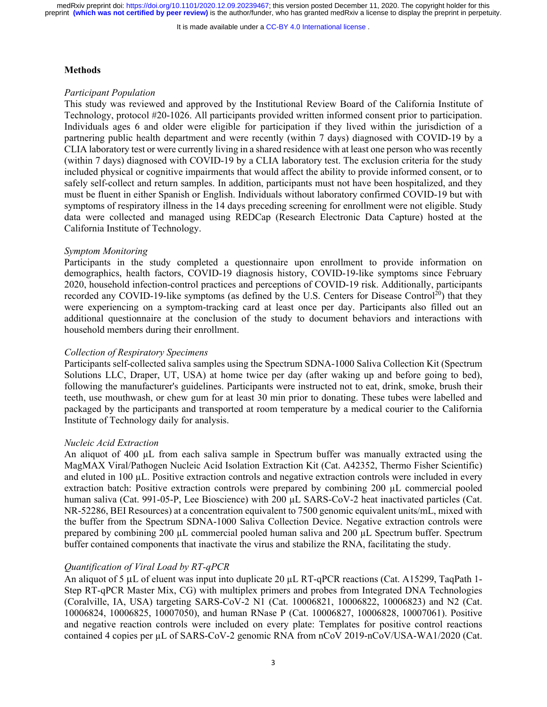It is made available under a CC-BY 4.0 International license.

#### **Methods**

# *Participant Population*

This study was reviewed and approved by the Institutional Review Board of the California Institute of Technology, protocol #20-1026. All participants provided written informed consent prior to participation. Individuals ages 6 and older were eligible for participation if they lived within the jurisdiction of a partnering public health department and were recently (within 7 days) diagnosed with COVID-19 by a CLIA laboratory test or were currently living in a shared residence with at least one person who was recently (within 7 days) diagnosed with COVID-19 by a CLIA laboratory test. The exclusion criteria for the study included physical or cognitive impairments that would affect the ability to provide informed consent, or to safely self-collect and return samples. In addition, participants must not have been hospitalized, and they must be fluent in either Spanish or English. Individuals without laboratory confirmed COVID-19 but with symptoms of respiratory illness in the 14 days preceding screening for enrollment were not eligible. Study data were collected and managed using REDCap (Research Electronic Data Capture) hosted at the California Institute of Technology.

#### *Symptom Monitoring*

Participants in the study completed a questionnaire upon enrollment to provide information on demographics, health factors, COVID-19 diagnosis history, COVID-19-like symptoms since February 2020, household infection-control practices and perceptions of COVID-19 risk. Additionally, participants recorded any COVID-19-like symptoms (as defined by the U.S. Centers for Disease Control<sup>20</sup>) that they were experiencing on a symptom-tracking card at least once per day. Participants also filled out an additional questionnaire at the conclusion of the study to document behaviors and interactions with household members during their enrollment.

## *Collection of Respiratory Specimens*

Participants self-collected saliva samples using the Spectrum SDNA-1000 Saliva Collection Kit (Spectrum Solutions LLC, Draper, UT, USA) at home twice per day (after waking up and before going to bed), following the manufacturer's guidelines. Participants were instructed not to eat, drink, smoke, brush their teeth, use mouthwash, or chew gum for at least 30 min prior to donating. These tubes were labelled and packaged by the participants and transported at room temperature by a medical courier to the California Institute of Technology daily for analysis.

## *Nucleic Acid Extraction*

An aliquot of 400 µL from each saliva sample in Spectrum buffer was manually extracted using the MagMAX Viral/Pathogen Nucleic Acid Isolation Extraction Kit (Cat. A42352, Thermo Fisher Scientific) and eluted in 100 µL. Positive extraction controls and negative extraction controls were included in every extraction batch: Positive extraction controls were prepared by combining 200 µL commercial pooled human saliva (Cat. 991-05-P, Lee Bioscience) with 200 µL SARS-CoV-2 heat inactivated particles (Cat. NR-52286, BEI Resources) at a concentration equivalent to 7500 genomic equivalent units/mL, mixed with the buffer from the Spectrum SDNA-1000 Saliva Collection Device. Negative extraction controls were prepared by combining 200 µL commercial pooled human saliva and 200 µL Spectrum buffer. Spectrum buffer contained components that inactivate the virus and stabilize the RNA, facilitating the study.

## *Quantification of Viral Load by RT-qPCR*

An aliquot of 5 µL of eluent was input into duplicate 20 µL RT-qPCR reactions (Cat. A15299, TaqPath 1-Step RT-qPCR Master Mix, CG) with multiplex primers and probes from Integrated DNA Technologies (Coralville, IA, USA) targeting SARS-CoV-2 N1 (Cat. 10006821, 10006822, 10006823) and N2 (Cat. 10006824, 10006825, 10007050), and human RNase P (Cat. 10006827, 10006828, 10007061). Positive and negative reaction controls were included on every plate: Templates for positive control reactions contained 4 copies per µL of SARS-CoV-2 genomic RNA from nCoV 2019-nCoV/USA-WA1/2020 (Cat.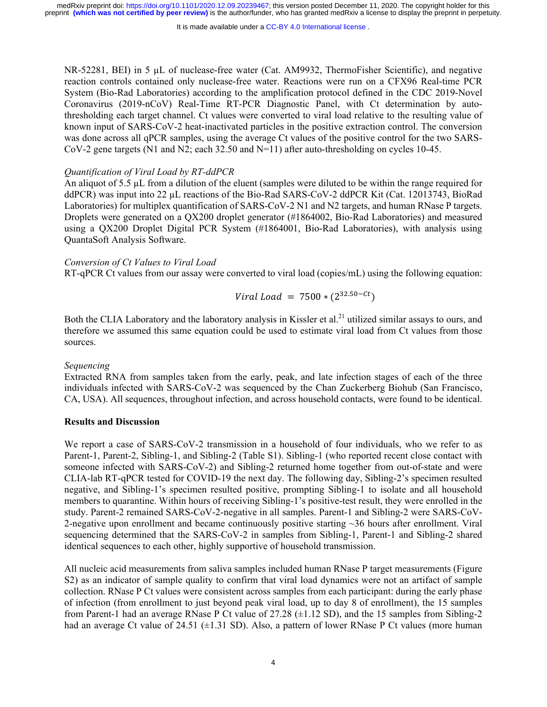It is made available under a CC-BY 4.0 International license.

NR-52281, BEI) in 5 µL of nuclease-free water (Cat. AM9932, ThermoFisher Scientific), and negative reaction controls contained only nuclease-free water. Reactions were run on a CFX96 Real-time PCR System (Bio-Rad Laboratories) according to the amplification protocol defined in the CDC 2019-Novel Coronavirus (2019-nCoV) Real-Time RT-PCR Diagnostic Panel, with Ct determination by autothresholding each target channel. Ct values were converted to viral load relative to the resulting value of known input of SARS-CoV-2 heat-inactivated particles in the positive extraction control. The conversion was done across all qPCR samples, using the average Ct values of the positive control for the two SARS-CoV-2 gene targets (N1 and N2; each 32.50 and N=11) after auto-thresholding on cycles 10-45.

#### *Quantification of Viral Load by RT-ddPCR*

An aliquot of 5.5 µL from a dilution of the eluent (samples were diluted to be within the range required for ddPCR) was input into 22 µL reactions of the Bio-Rad SARS-CoV-2 ddPCR Kit (Cat. 12013743, BioRad Laboratories) for multiplex quantification of SARS-CoV-2 N1 and N2 targets, and human RNase P targets. Droplets were generated on a QX200 droplet generator (#1864002, Bio-Rad Laboratories) and measured using a QX200 Droplet Digital PCR System (#1864001, Bio-Rad Laboratories), with analysis using QuantaSoft Analysis Software.

#### *Conversion of Ct Values to Viral Load*

RT-qPCR Ct values from our assay were converted to viral load (copies/mL) using the following equation:

*Viral Load* =  $7500 * (2^{32.50 - Ct})$ 

Both the CLIA Laboratory and the laboratory analysis in Kissler et al.<sup>21</sup> utilized similar assays to ours, and therefore we assumed this same equation could be used to estimate viral load from Ct values from those sources.

#### *Sequencing*

Extracted RNA from samples taken from the early, peak, and late infection stages of each of the three individuals infected with SARS-CoV-2 was sequenced by the Chan Zuckerberg Biohub (San Francisco, CA, USA). All sequences, throughout infection, and across household contacts, were found to be identical.

## **Results and Discussion**

We report a case of SARS-CoV-2 transmission in a household of four individuals, who we refer to as Parent-1, Parent-2, Sibling-1, and Sibling-2 (Table S1). Sibling-1 (who reported recent close contact with someone infected with SARS-CoV-2) and Sibling-2 returned home together from out-of-state and were CLIA-lab RT-qPCR tested for COVID-19 the next day. The following day, Sibling-2's specimen resulted negative, and Sibling-1's specimen resulted positive, prompting Sibling-1 to isolate and all household members to quarantine. Within hours of receiving Sibling-1's positive-test result, they were enrolled in the study. Parent-2 remained SARS-CoV-2-negative in all samples. Parent-1 and Sibling-2 were SARS-CoV-2-negative upon enrollment and became continuously positive starting  $\sim$ 36 hours after enrollment. Viral sequencing determined that the SARS-CoV-2 in samples from Sibling-1, Parent-1 and Sibling-2 shared identical sequences to each other, highly supportive of household transmission.

All nucleic acid measurements from saliva samples included human RNase P target measurements (Figure S2) as an indicator of sample quality to confirm that viral load dynamics were not an artifact of sample collection. RNase P Ct values were consistent across samples from each participant: during the early phase of infection (from enrollment to just beyond peak viral load, up to day 8 of enrollment), the 15 samples from Parent-1 had an average RNase P Ct value of 27.28 (±1.12 SD), and the 15 samples from Sibling-2 had an average Ct value of 24.51 ( $\pm$ 1.31 SD). Also, a pattern of lower RNase P Ct values (more human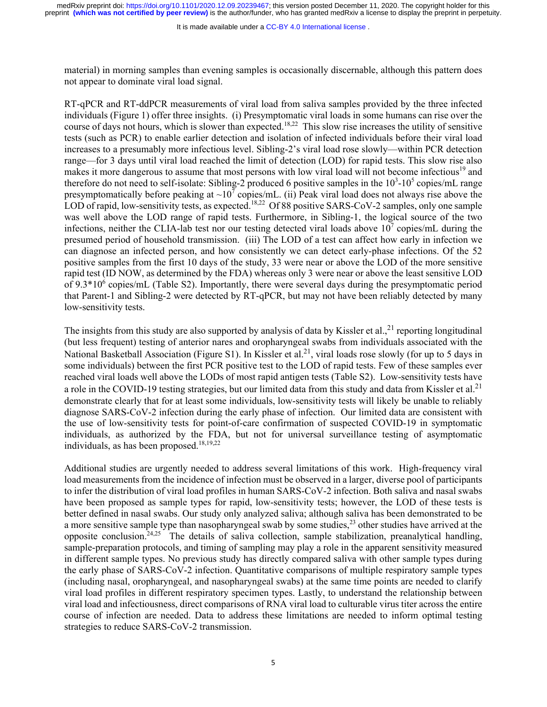It is made available under a CC-BY 4.0 International license.

material) in morning samples than evening samples is occasionally discernable, although this pattern does not appear to dominate viral load signal.

RT-qPCR and RT-ddPCR measurements of viral load from saliva samples provided by the three infected individuals (Figure 1) offer three insights. (i) Presymptomatic viral loads in some humans can rise over the course of days not hours, which is slower than expected.18,22 This slow rise increases the utility of sensitive tests (such as PCR) to enable earlier detection and isolation of infected individuals before their viral load increases to a presumably more infectious level. Sibling-2's viral load rose slowly—within PCR detection range—for 3 days until viral load reached the limit of detection (LOD) for rapid tests. This slow rise also makes it more dangerous to assume that most persons with low viral load will not become infectious<sup>19</sup> and therefore do not need to self-isolate: Sibling-2 produced 6 positive samples in the  $10^3$ - $10^5$  copies/mL range presymptomatically before peaking at  $\sim 10^7$  copies/mL. (ii) Peak viral load does not always rise above the LOD of rapid, low-sensitivity tests, as expected.<sup>18,22</sup> Of 88 positive SARS-CoV-2 samples, only one sample was well above the LOD range of rapid tests. Furthermore, in Sibling-1, the logical source of the two infections, neither the CLIA-lab test nor our testing detected viral loads above  $10^7$  copies/mL during the presumed period of household transmission. (iii) The LOD of a test can affect how early in infection we can diagnose an infected person, and how consistently we can detect early-phase infections. Of the 52 positive samples from the first 10 days of the study, 33 were near or above the LOD of the more sensitive rapid test (ID NOW, as determined by the FDA) whereas only 3 were near or above the least sensitive LOD of  $9.3*10<sup>6</sup>$  copies/mL (Table S2). Importantly, there were several days during the presymptomatic period that Parent-1 and Sibling-2 were detected by RT-qPCR, but may not have been reliably detected by many low-sensitivity tests.

The insights from this study are also supported by analysis of data by Kissler et al.,  $^{21}$  reporting longitudinal (but less frequent) testing of anterior nares and oropharyngeal swabs from individuals associated with the National Basketball Association (Figure S1). In Kissler et al.<sup>21</sup>, viral loads rose slowly (for up to 5 days in some individuals) between the first PCR positive test to the LOD of rapid tests. Few of these samples ever reached viral loads well above the LODs of most rapid antigen tests (Table S2). Low-sensitivity tests have a role in the COVID-19 testing strategies, but our limited data from this study and data from Kissler et al.<sup>21</sup> demonstrate clearly that for at least some individuals, low-sensitivity tests will likely be unable to reliably diagnose SARS-CoV-2 infection during the early phase of infection. Our limited data are consistent with the use of low-sensitivity tests for point-of-care confirmation of suspected COVID-19 in symptomatic individuals, as authorized by the FDA, but not for universal surveillance testing of asymptomatic individuals, as has been proposed. $18,19,22$ 

Additional studies are urgently needed to address several limitations of this work. High-frequency viral load measurements from the incidence of infection must be observed in a larger, diverse pool of participants to infer the distribution of viral load profiles in human SARS-CoV-2 infection. Both saliva and nasal swabs have been proposed as sample types for rapid, low-sensitivity tests; however, the LOD of these tests is better defined in nasal swabs. Our study only analyzed saliva; although saliva has been demonstrated to be a more sensitive sample type than nasopharyngeal swab by some studies,  $^{23}$  other studies have arrived at the opposite conclusion.<sup>24,25</sup> The details of saliva collection, sample stabilization, preanalytical handling, sample-preparation protocols, and timing of sampling may play a role in the apparent sensitivity measured in different sample types. No previous study has directly compared saliva with other sample types during the early phase of SARS-CoV-2 infection. Quantitative comparisons of multiple respiratory sample types (including nasal, oropharyngeal, and nasopharyngeal swabs) at the same time points are needed to clarify viral load profiles in different respiratory specimen types. Lastly, to understand the relationship between viral load and infectiousness, direct comparisons of RNA viral load to culturable virus titer across the entire course of infection are needed. Data to address these limitations are needed to inform optimal testing strategies to reduce SARS-CoV-2 transmission.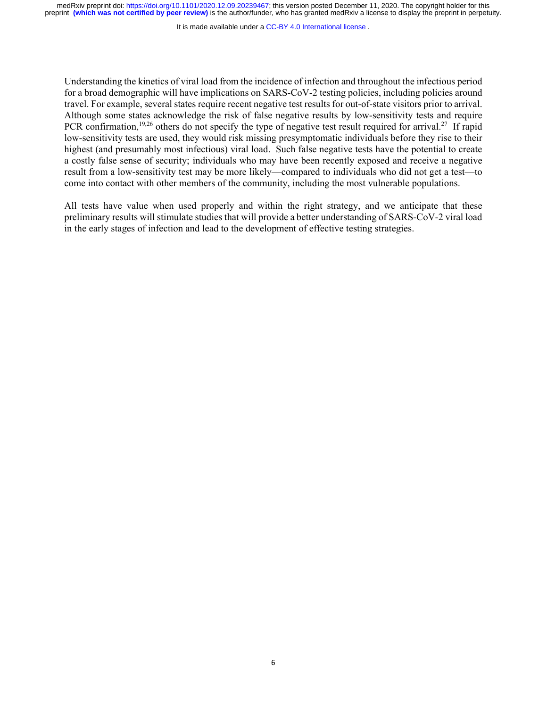It is made available under a [CC-BY 4.0 International license](http://creativecommons.org/licenses/by/4.0/) .

Understanding the kinetics of viral load from the incidence of infection and throughout the infectious period for a broad demographic will have implications on SARS-CoV-2 testing policies, including policies around travel. For example, several states require recent negative test results for out-of-state visitors prior to arrival. Although some states acknowledge the risk of false negative results by low-sensitivity tests and require PCR confirmation,<sup>19,26</sup> others do not specify the type of negative test result required for arrival.<sup>27</sup> If rapid low-sensitivity tests are used, they would risk missing presymptomatic individuals before they rise to their highest (and presumably most infectious) viral load. Such false negative tests have the potential to create a costly false sense of security; individuals who may have been recently exposed and receive a negative result from a low-sensitivity test may be more likely—compared to individuals who did not get a test—to come into contact with other members of the community, including the most vulnerable populations.

All tests have value when used properly and within the right strategy, and we anticipate that these preliminary results will stimulate studies that will provide a better understanding of SARS-CoV-2 viral load in the early stages of infection and lead to the development of effective testing strategies.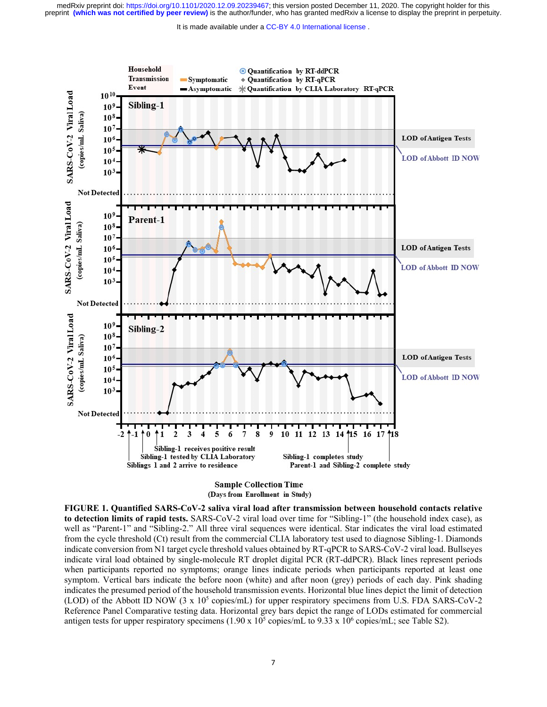It is made available under a CC-BY 4.0 International license.



**Sample Collection Time** (Days from Enrollment in Study)

**FIGURE 1. Quantified SARS-CoV-2 saliva viral load after transmission between household contacts relative to detection limits of rapid tests.** SARS-CoV-2 viral load over time for "Sibling-1" (the household index case), as well as "Parent-1" and "Sibling-2." All three viral sequences were identical. Star indicates the viral load estimated from the cycle threshold (Ct) result from the commercial CLIA laboratory test used to diagnose Sibling-1. Diamonds indicate conversion from N1 target cycle threshold values obtained by RT-qPCR to SARS-CoV-2 viral load. Bullseyes indicate viral load obtained by single-molecule RT droplet digital PCR (RT-ddPCR). Black lines represent periods when participants reported no symptoms; orange lines indicate periods when participants reported at least one symptom. Vertical bars indicate the before noon (white) and after noon (grey) periods of each day. Pink shading indicates the presumed period of the household transmission events. Horizontal blue lines depict the limit of detection (LOD) of the Abbott ID NOW (3 x  $10^5$  copies/mL) for upper respiratory specimens from U.S. FDA SARS-CoV-2 Reference Panel Comparative testing data. Horizontal grey bars depict the range of LODs estimated for commercial antigen tests for upper respiratory specimens  $(1.90 \times 10^5 \text{ copies/mL}$  to  $9.33 \times 10^6 \text{ copies/mL}$ ; see Table S2).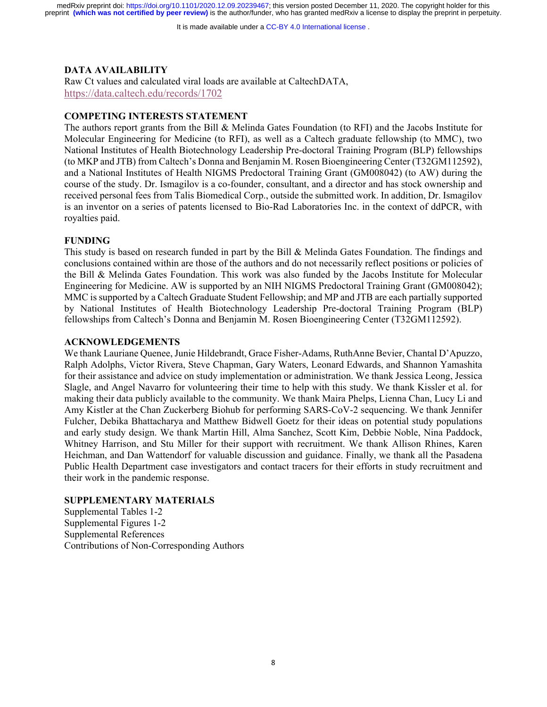It is made available under a CC-BY 4.0 International license.

# **DATA AVAILABILITY**

Raw Ct values and calculated viral loads are available at CaltechDATA, https://data.caltech.edu/records/1702

# **COMPETING INTERESTS STATEMENT**

The authors report grants from the Bill & Melinda Gates Foundation (to RFI) and the Jacobs Institute for Molecular Engineering for Medicine (to RFI), as well as a Caltech graduate fellowship (to MMC), two National Institutes of Health Biotechnology Leadership Pre-doctoral Training Program (BLP) fellowships (to MKP and JTB) from Caltech's Donna and Benjamin M. Rosen Bioengineering Center (T32GM112592), and a National Institutes of Health NIGMS Predoctoral Training Grant (GM008042) (to AW) during the course of the study. Dr. Ismagilov is a co-founder, consultant, and a director and has stock ownership and received personal fees from Talis Biomedical Corp., outside the submitted work. In addition, Dr. Ismagilov is an inventor on a series of patents licensed to Bio-Rad Laboratories Inc. in the context of ddPCR, with royalties paid.

# **FUNDING**

This study is based on research funded in part by the Bill & Melinda Gates Foundation. The findings and conclusions contained within are those of the authors and do not necessarily reflect positions or policies of the Bill & Melinda Gates Foundation. This work was also funded by the Jacobs Institute for Molecular Engineering for Medicine. AW is supported by an NIH NIGMS Predoctoral Training Grant (GM008042); MMC is supported by a Caltech Graduate Student Fellowship; and MP and JTB are each partially supported by National Institutes of Health Biotechnology Leadership Pre-doctoral Training Program (BLP) fellowships from Caltech's Donna and Benjamin M. Rosen Bioengineering Center (T32GM112592).

#### **ACKNOWLEDGEMENTS**

We thank Lauriane Quenee, Junie Hildebrandt, Grace Fisher-Adams, RuthAnne Bevier, Chantal D'Apuzzo, Ralph Adolphs, Victor Rivera, Steve Chapman, Gary Waters, Leonard Edwards, and Shannon Yamashita for their assistance and advice on study implementation or administration. We thank Jessica Leong, Jessica Slagle, and Angel Navarro for volunteering their time to help with this study. We thank Kissler et al. for making their data publicly available to the community. We thank Maira Phelps, Lienna Chan, Lucy Li and Amy Kistler at the Chan Zuckerberg Biohub for performing SARS-CoV-2 sequencing. We thank Jennifer Fulcher, Debika Bhattacharya and Matthew Bidwell Goetz for their ideas on potential study populations and early study design. We thank Martin Hill, Alma Sanchez, Scott Kim, Debbie Noble, Nina Paddock, Whitney Harrison, and Stu Miller for their support with recruitment. We thank Allison Rhines, Karen Heichman, and Dan Wattendorf for valuable discussion and guidance. Finally, we thank all the Pasadena Public Health Department case investigators and contact tracers for their efforts in study recruitment and their work in the pandemic response.

# **SUPPLEMENTARY MATERIALS**

Supplemental Tables 1-2 Supplemental Figures 1-2 Supplemental References Contributions of Non-Corresponding Authors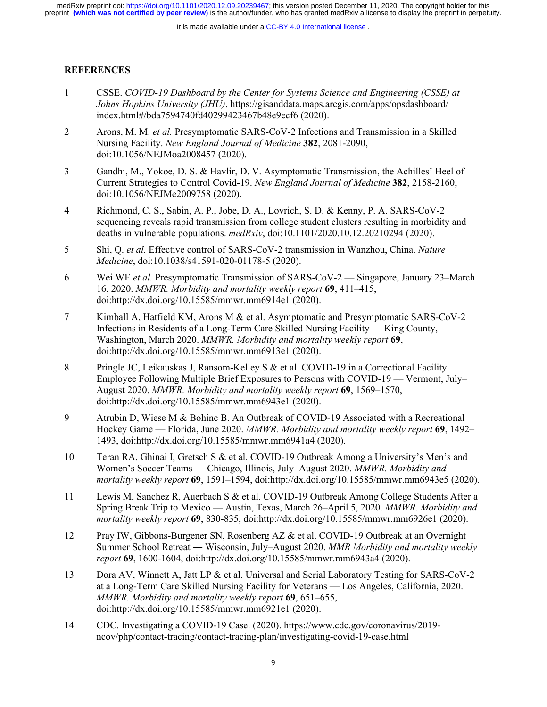# **REFERENCES**

- 1 CSSE. *COVID-19 Dashboard by the Center for Systems Science and Engineering (CSSE) at Johns Hopkins University (JHU)*, https://gisanddata.maps.arcgis.com/apps/opsdashboard/ index.html#/bda7594740fd40299423467b48e9ecf6 (2020).
- 2 Arons, M. M. *et al.* Presymptomatic SARS-CoV-2 Infections and Transmission in a Skilled Nursing Facility. *New England Journal of Medicine* **382**, 2081-2090, doi:10.1056/NEJMoa2008457 (2020).
- 3 Gandhi, M., Yokoe, D. S. & Havlir, D. V. Asymptomatic Transmission, the Achilles' Heel of Current Strategies to Control Covid-19. *New England Journal of Medicine* **382**, 2158-2160, doi:10.1056/NEJMe2009758 (2020).
- 4 Richmond, C. S., Sabin, A. P., Jobe, D. A., Lovrich, S. D. & Kenny, P. A. SARS-CoV-2 sequencing reveals rapid transmission from college student clusters resulting in morbidity and deaths in vulnerable populations. *medRxiv*, doi:10.1101/2020.10.12.20210294 (2020).
- 5 Shi, Q. *et al.* Effective control of SARS-CoV-2 transmission in Wanzhou, China. *Nature Medicine*, doi:10.1038/s41591-020-01178-5 (2020).
- 6 Wei WE *et al.* Presymptomatic Transmission of SARS-CoV-2 Singapore, January 23–March 16, 2020. *MMWR. Morbidity and mortality weekly report* **69**, 411–415, doi:http://dx.doi.org/10.15585/mmwr.mm6914e1 (2020).
- 7 Kimball A, Hatfield KM, Arons M & et al. Asymptomatic and Presymptomatic SARS-CoV-2 Infections in Residents of a Long-Term Care Skilled Nursing Facility — King County, Washington, March 2020. *MMWR. Morbidity and mortality weekly report* **69**, doi:http://dx.doi.org/10.15585/mmwr.mm6913e1 (2020).
- 8 Pringle JC, Leikauskas J, Ransom-Kelley S & et al. COVID-19 in a Correctional Facility Employee Following Multiple Brief Exposures to Persons with COVID-19 — Vermont, July– August 2020. *MMWR. Morbidity and mortality weekly report* **69**, 1569–1570, doi:http://dx.doi.org/10.15585/mmwr.mm6943e1 (2020).
- 9 Atrubin D, Wiese M & Bohinc B. An Outbreak of COVID-19 Associated with a Recreational Hockey Game — Florida, June 2020. *MMWR. Morbidity and mortality weekly report* **69**, 1492– 1493, doi:http://dx.doi.org/10.15585/mmwr.mm6941a4 (2020).
- 10 Teran RA, Ghinai I, Gretsch S & et al. COVID-19 Outbreak Among a University's Men's and Women's Soccer Teams — Chicago, Illinois, July–August 2020. *MMWR. Morbidity and mortality weekly report* **69**, 1591–1594, doi:http://dx.doi.org/10.15585/mmwr.mm6943e5 (2020).
- 11 Lewis M, Sanchez R, Auerbach S & et al. COVID-19 Outbreak Among College Students After a Spring Break Trip to Mexico — Austin, Texas, March 26–April 5, 2020. *MMWR. Morbidity and mortality weekly report* **69**, 830-835, doi:http://dx.doi.org/10.15585/mmwr.mm6926e1 (2020).
- 12 Pray IW, Gibbons-Burgener SN, Rosenberg AZ & et al. COVID-19 Outbreak at an Overnight Summer School Retreat ― Wisconsin, July–August 2020. *MMR Morbidity and mortality weekly report* **69**, 1600-1604, doi:http://dx.doi.org/10.15585/mmwr.mm6943a4 (2020).
- 13 Dora AV, Winnett A, Jatt LP & et al. Universal and Serial Laboratory Testing for SARS-CoV-2 at a Long-Term Care Skilled Nursing Facility for Veterans — Los Angeles, California, 2020. *MMWR. Morbidity and mortality weekly report* **69**, 651–655, doi:http://dx.doi.org/10.15585/mmwr.mm6921e1 (2020).
- 14 CDC. Investigating a COVID-19 Case. (2020). https://www.cdc.gov/coronavirus/2019 ncov/php/contact-tracing/contact-tracing-plan/investigating-covid-19-case.html